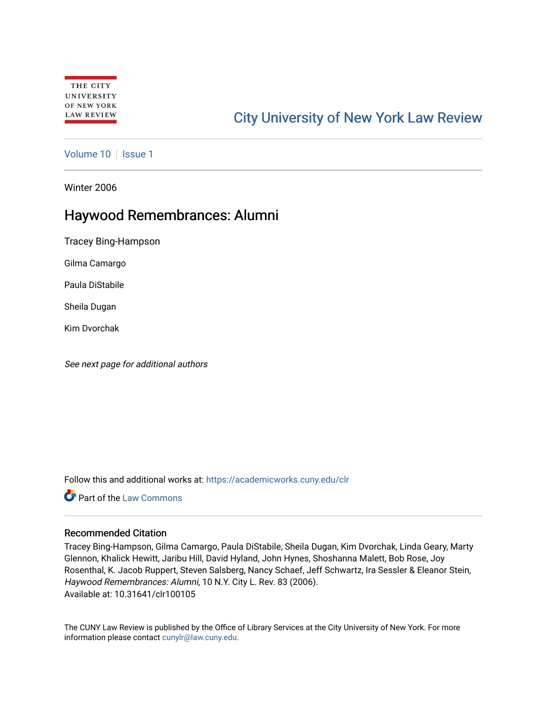# [City University of New York Law Review](https://academicworks.cuny.edu/clr)

[Volume 10](https://academicworks.cuny.edu/clr/vol10) | [Issue 1](https://academicworks.cuny.edu/clr/vol10/iss1)

Winter 2006

## Haywood Remembrances: Alumni

Tracey Bing-Hampson

Gilma Camargo

Paula DiStabile

Sheila Dugan

Kim Dvorchak

See next page for additional authors

Follow this and additional works at: [https://academicworks.cuny.edu/clr](https://academicworks.cuny.edu/clr?utm_source=academicworks.cuny.edu%2Fclr%2Fvol10%2Fiss1%2F6&utm_medium=PDF&utm_campaign=PDFCoverPages) 

Part of the [Law Commons](http://network.bepress.com/hgg/discipline/578?utm_source=academicworks.cuny.edu%2Fclr%2Fvol10%2Fiss1%2F6&utm_medium=PDF&utm_campaign=PDFCoverPages)

#### Recommended Citation

Tracey Bing-Hampson, Gilma Camargo, Paula DiStabile, Sheila Dugan, Kim Dvorchak, Linda Geary, Marty Glennon, Khalick Hewitt, Jaribu Hill, David Hyland, John Hynes, Shoshanna Malett, Bob Rose, Joy Rosenthal, K. Jacob Ruppert, Steven Salsberg, Nancy Schaef, Jeff Schwartz, Ira Sessler & Eleanor Stein, Haywood Remembrances: Alumni, 10 N.Y. City L. Rev. 83 (2006). Available at: 10.31641/clr100105

The CUNY Law Review is published by the Office of Library Services at the City University of New York. For more information please contact [cunylr@law.cuny.edu](mailto:cunylr@law.cuny.edu).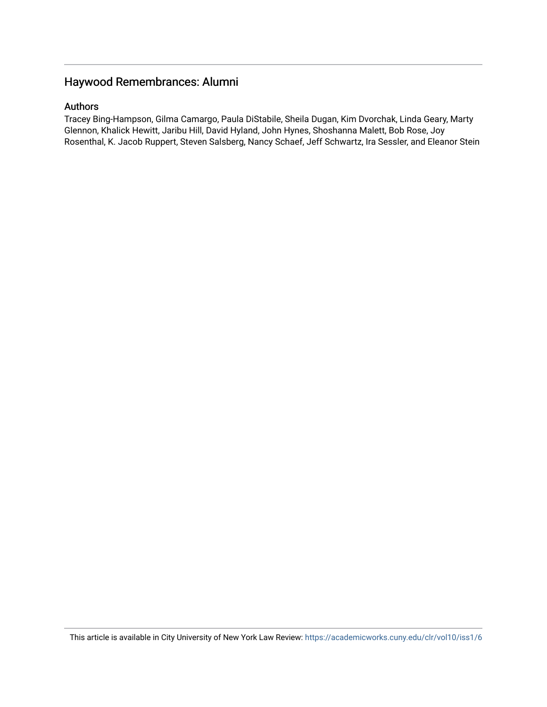## Haywood Remembrances: Alumni

### Authors

Tracey Bing-Hampson, Gilma Camargo, Paula DiStabile, Sheila Dugan, Kim Dvorchak, Linda Geary, Marty Glennon, Khalick Hewitt, Jaribu Hill, David Hyland, John Hynes, Shoshanna Malett, Bob Rose, Joy Rosenthal, K. Jacob Ruppert, Steven Salsberg, Nancy Schaef, Jeff Schwartz, Ira Sessler, and Eleanor Stein

This article is available in City University of New York Law Review: <https://academicworks.cuny.edu/clr/vol10/iss1/6>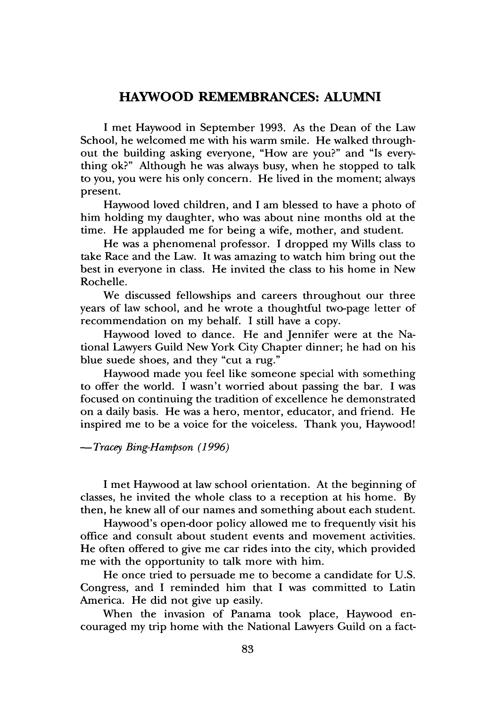### **HAYWOOD REMEMBRANCES: ALUMNI**

I met Haywood in September 1993. As the Dean of the Law School, he welcomed me with his warm smile. He walked throughout the building asking everyone, "How are you?" and "Is everything ok?" Although he was always busy, when he stopped to talk to you, you were his only concern. He lived in the moment; always present.

Haywood loved children, and I am blessed to have a photo of him holding my daughter, who was about nine months old at the time. He applauded me for being a wife, mother, and student.

He was a phenomenal professor. I dropped my Wills class to take Race and the Law. It was amazing to watch him bring out the best in everyone in class. He invited the class to his home in New Rochelle.

We discussed fellowships and careers throughout our three years of law school, and he wrote a thoughtful two-page letter of recommendation on my behalf. I still have a copy.

Haywood loved to dance. He and Jennifer were at the National Lawyers Guild New York City Chapter dinner; he had on his blue suede shoes, and they "cut a rug."

Haywood made you feel like someone special with something to offer the world. I wasn't worried about passing the bar. I was focused on continuing the tradition of excellence he demonstrated on a daily basis. He was a hero, mentor, educator, and friend. He inspired me to be a voice for the voiceless. Thank you, Haywood!

-Tracey *Bing-Hampson (1996)*

I met Haywood at law school orientation. At the beginning of classes, he invited the whole class to a reception at his home. By then, he knew all of our names and something about each student.

Haywood's open-door policy allowed me to frequently visit his office and consult about student events and movement activities. He often offered to give me car rides into the city, which provided me with the opportunity to talk more with him.

He once tried to persuade me to become a candidate for U.S. Congress, and I reminded him that I was committed to Latin America. He did not give up easily.

When the invasion of Panama took place, Haywood encouraged my trip home with the National Lawyers Guild on a fact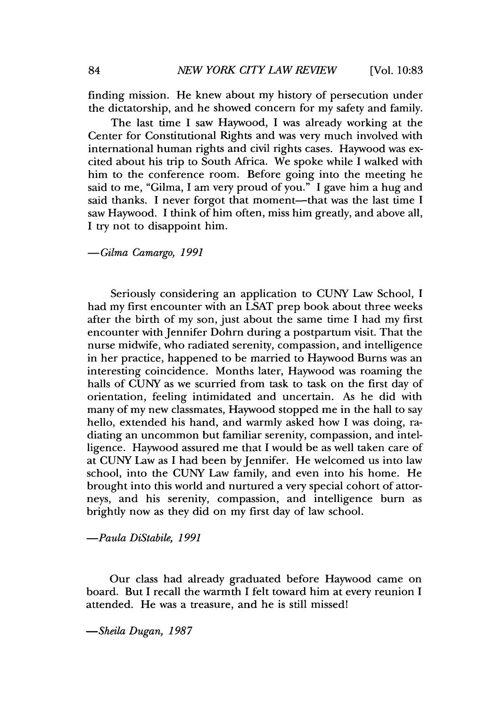finding mission. He knew about my history of persecution under the dictatorship, and he showed concern for my safety and family.

The last time I saw Haywood, I was already working at the Center for Constitutional Rights and was very much involved with international human rights and civil rights cases. Haywood was excited about his trip to South Africa. We spoke while I walked with him to the conference room. Before going into the meeting he said to me, "Gilma, I am very proud of you." I gave him a hug and said thanks. I never forgot that moment—that was the last time I saw Haywood. I think of him often, miss him greatly, and above all, I try not to disappoint him.

*-Gilma Camargo, 1991*

Seriously considering an application to CUNY Law School, I had my first encounter with an LSAT prep book about three weeks after the birth of my son, just about the same time I had my first encounter with Jennifer Dohrn during a postpartum visit. That the nurse midwife, who radiated serenity, compassion, and intelligence in her practice, happened to be married to Haywood Burns was an interesting coincidence. Months later, Haywood was roaming the halls of CUNY as we scurried from task to task on the first day of orientation, feeling intimidated and uncertain. As he did with many of my new classmates, Haywood stopped me in the hall to say hello, extended his hand, and warmly asked how I was doing, radiating an uncommon but familiar serenity, compassion, and intelligence. Haywood assured me that I would be as well taken care of at CUNY Law as I had been by Jennifer. He welcomed us into law school, into the CUNY Law family, and even into his home. He brought into this world and nurtured a very special cohort of attorneys, and his serenity, compassion, and intelligence burn as brightly now as they did on my first day of law school.

*-Paula DiStabile, 1991*

Our class had already graduated before Haywood came on board. But I recall the warmth I felt toward him at every reunion I attended. He was a treasure, and he is still missed!

*-Sheila Dugan, 1987*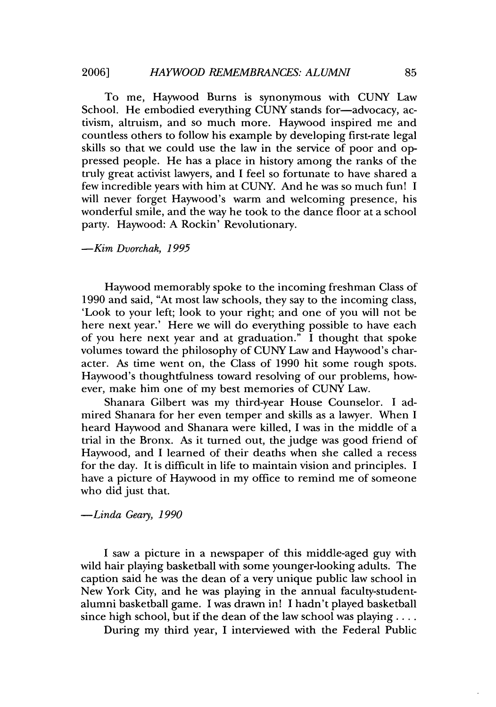To me, Haywood Burns is synonymous with CUNY Law School. He embodied everything CUNY stands for-advocacy, activism, altruism, and so much more. Haywood inspired me and countless others to follow his example by developing first-rate legal skills so that we could use the law in the service of poor and oppressed people. He has a place in history among the ranks of the truly great activist lawyers, and I feel so fortunate to have shared a few incredible years with him at CUNY. And he was so much fun! I will never forget Haywood's warm and welcoming presence, his wonderful smile, and the way he took to the dance floor at a school party. Haywood: A Rockin' Revolutionary.

#### *-Kim Dvorchak, 1995*

Haywood memorably spoke to the incoming freshman Class of 1990 and said, "At most law schools, they say to the incoming class, 'Look to your left; look to your right; and one of you will not be here next year.' Here we will do everything possible to have each of you here next year and at graduation." I thought that spoke volumes toward the philosophy of CUNY Law and Haywood's character. As time went on, the Class of 1990 hit some rough spots. Haywood's thoughtfulness toward resolving of our problems, however, make him one of my best memories of CUNY Law.

Shanara Gilbert was my third-year House Counselor. I admired Shanara for her even temper and skills as a lawyer. When I heard Haywood and Shanara were killed, I was in the middle of a trial in the Bronx. As it turned out, the judge was good friend of Haywood, and I learned of their deaths when she called a recess for the day. It is difficult in life to maintain vision and principles. I have a picture of Haywood in my office to remind me of someone who did just that.

#### *-Linda Geary, 1990*

I saw a picture in a newspaper of this middle-aged guy with wild hair playing basketball with some younger-looking adults. The caption said he was the dean of a very unique public law school in New York City, and he was playing in the annual faculty-studentalumni basketball game. I was drawn in! I hadn't played basketball since high school, but if the dean of the law school was playing  $\dots$ .

During my third year, I interviewed with the Federal Public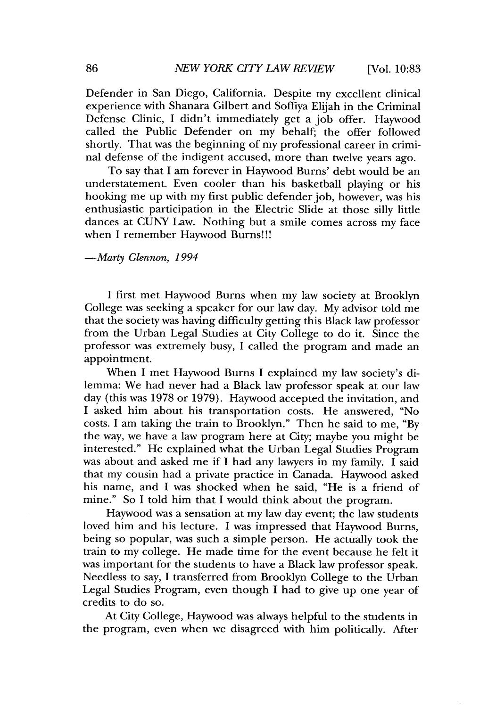Defender in San Diego, California. Despite my excellent clinical experience with Shanara Gilbert and Soffiya Elijah in the Criminal Defense Clinic, I didn't immediately get a job offer. Haywood called the Public Defender on my behalf; the offer followed shortly. That was the beginning of my professional career in criminal defense of the indigent accused, more than twelve years ago.

To say that I am forever in Haywood Burns' debt would be an understatement. Even cooler than his basketball playing or his hooking me up with my first public defender job, however, was his enthusiastic participation in the Electric Slide at those silly little dances at CUNY Law. Nothing but a smile comes across my face when I remember Haywood Burns!!!

#### *-Marty Glennon, 1994*

I first met Haywood Burns when my law society at Brooklyn College was seeking a speaker for our law day. My advisor told me that the society was having difficulty getting this Black law professor from the Urban Legal Studies at City College to do it. Since the professor was extremely busy, I called the program and made an appointment.

When I met Haywood Burns I explained my law society's dilemma: We had never had a Black law professor speak at our law day (this was 1978 or 1979). Haywood accepted the invitation, and I asked him about his transportation costs. He answered, "No costs. I am taking the train to Brooklyn." Then he said to me, "By the way, we have a law program here at City; maybe you might be interested." He explained what the Urban Legal Studies Program was about and asked me if I had any lawyers in my family. I said that my cousin had a private practice in Canada. Haywood asked his name, and I was shocked when he said, "He is a friend of mine." So I told him that I would think about the program.

Haywood was a sensation at my law day event; the law students loved him and his lecture. I was impressed that Haywood Burns, being so popular, was such a simple person. He actually took the train to my college. He made time for the event because he felt it was important for the students to have a Black law professor speak. Needless to say, I transferred from Brooklyn College to the Urban Legal Studies Program, even though I had to give up one year of credits to do so.

At City College, Haywood was always helpful to the students in the program, even when we disagreed with him politically. After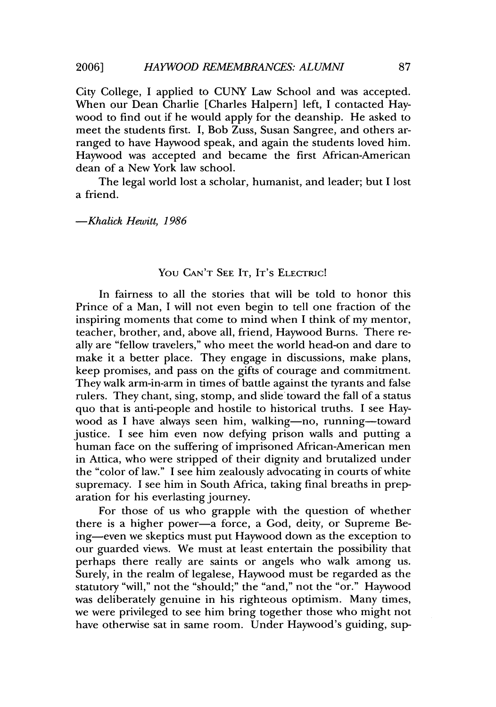City College, I applied to CUNY Law School and was accepted. When our Dean Charlie [Charles Halpern] left, I contacted Haywood to find out if he would apply for the deanship. He asked to meet the students first. I, Bob Zuss, Susan Sangree, and others arranged to have Haywood speak, and again the students loved him. Haywood was accepted and became the first African-American dean of a New York law school.

The legal world lost a scholar, humanist, and leader; but I lost a friend.

*-Khalick Hewitt, 1986*

#### YOU CAN'T SEE IT, IT'S ELECTRIC!

In fairness to all the stories that will be told to honor this Prince of a Man, I will not even begin to tell one fraction of the inspiring moments that come to mind when I think of my mentor, teacher, brother, and, above all, friend, Haywood Burns. There really are "fellow travelers," who meet the world head-on and dare to make it a better place. They engage in discussions, make plans, keep promises, and pass on the gifts of courage and commitment. They walk arm-in-arm in times of battle against the tyrants and false rulers. They chant, sing, stomp, and slide toward the fall of a status quo that is anti-people and hostile to historical truths. I see Haywood as I have always seen him, walking-no, running-toward justice. I see him even now defying prison walls and putting a human face on the suffering of imprisoned African-American men in Attica, who were stripped of their dignity and brutalized under the "color of law." I see him zealously advocating in courts of white supremacy. I see him in South Africa, taking final breaths in preparation for his everlasting journey.

For those of us who grapple with the question of whether there is a higher power-a force, a God, deity, or Supreme Being-even we skeptics must put Haywood down as the exception to our guarded views. We must at least entertain the possibility that perhaps there really are saints or angels who walk among us. Surely, in the realm of legalese, Haywood must be regarded as the statutory "will," not the "should;" the "and," not the "or." Haywood was deliberately genuine in his righteous optimism. Many times, we were privileged to see him bring together those who might not have otherwise sat in same room. Under Haywood's guiding, sup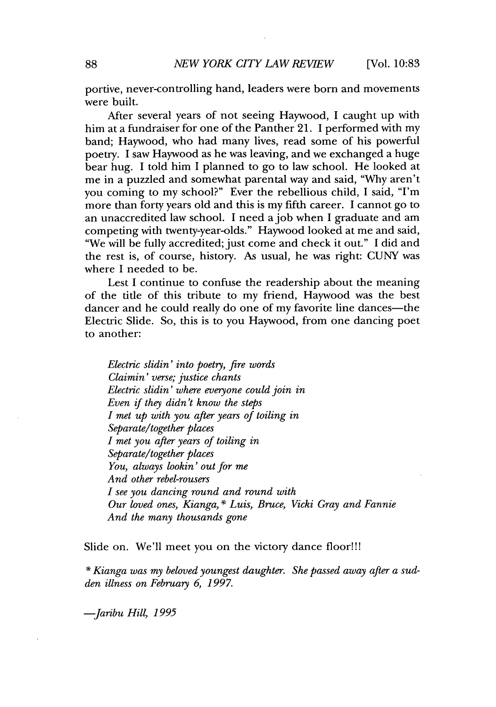portive, never-controlling hand, leaders were born and movements were built.

After several years of not seeing Haywood, I caught up with him at a fundraiser for one of the Panther 21. I performed with my band; Haywood, who had many lives, read some of his powerful poetry. I saw Haywood as he was leaving, and we exchanged a huge bear hug. I told him I planned to go to law school. He looked at me in a puzzled and somewhat parental way and said, "Why aren't you coming to my school?" Ever the rebellious child, I said, "I'm more than forty years old and this is my fifth career. I cannot go to an unaccredited law school. I need ajob when I graduate and am competing with twenty-year-olds." Haywood looked at me and said, "We will be fully accredited; just come and check it out." I did and the rest is, of course, history. As usual, he was right: CUNY was where I needed to be.

Lest I continue to confuse the readership about the meaning of the title of this tribute to my friend, Haywood was the best dancer and he could really do one of my favorite line dances—the Electric Slide. So, this is to you Haywood, from one dancing poet to another:

*Electric slidin' into poehy, fire words Claimin' verse; justice chants Electric slidin' where everyone could join in Even if they didn't know the steps I met up with you after years of toiling in Separate/together places I met you after years of toiling in Separate/together places You, always lookin' out for me And other rebel-rousers I see you dancing round and round with Our loved ones, Kianga,* \* *Luis, Bruce, Vicki Gray and Fannie And the many thousands gone*

Slide on. We'll meet you on the victory dance floor!!!

**\*** *Kianga was my beloved youngest daughter. She passed away after a sudden illness on February 6, 1997.*

*-Jaribu Hill, 1995*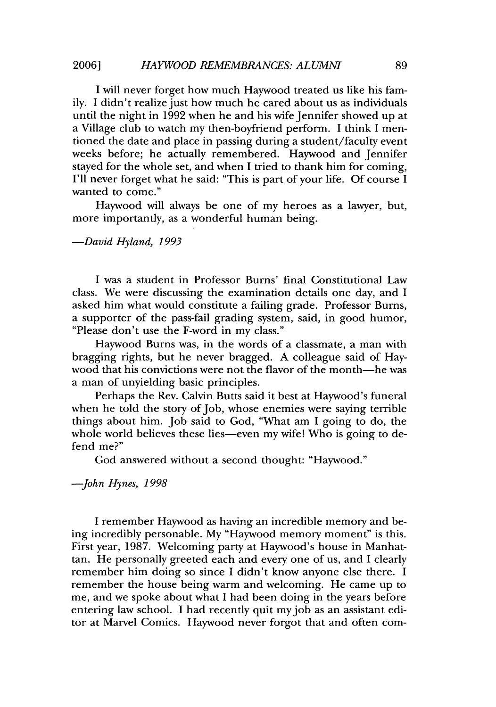I will never forget how much Haywood treated us like his family. I didn't realize just how much he cared about us as individuals until the night in 1992 when he and his wife Jennifer showed up at a Village club to watch my then-boyfriend perform. I think I mentioned the date and place in passing during a student/faculty event weeks before; he actually remembered. Haywood and Jennifer stayed for the whole set, and when I tried to thank him for coming, I'll never forget what he said: "This is part of your life. Of course I wanted to come."

Haywood will always be one of my heroes as a lawyer, but, more importantly, as a wonderful human being.

*-David Hyland, 1993*

I was a student in Professor Burns' final Constitutional Law class. We were discussing the examination details one day, and I asked him what would constitute a failing grade. Professor Burns, a supporter of the pass-fail grading system, said, in good humor, "Please don't use the F-word in my class."

Haywood Burns was, in the words of a classmate, a man with bragging rights, but he never bragged. A colleague said of Haywood that his convictions were not the flavor of the month-he was a man of unyielding basic principles.

Perhaps the Rev. Calvin Butts said it best at Haywood's funeral when he told the story of Job, whose enemies were saying terrible things about him. Job said to God, "What am I going to do, the whole world believes these lies—even my wife! Who is going to defend me?"

God answered without a second thought: "Haywood."

*-John Hynes, 1998*

I remember Haywood as having an incredible memory and being incredibly personable. My "Haywood memory moment" is this. First year, 1987. Welcoming party at Haywood's house in Manhattan. He personally greeted each and every one of us, and I clearly remember him doing so since I didn't know anyone else there. I remember the house being warm and welcoming. He came up to me, and we spoke about what I had been doing in the years before entering law school. I had recently quit my job as an assistant editor at Marvel Comics. Haywood never forgot that and often com-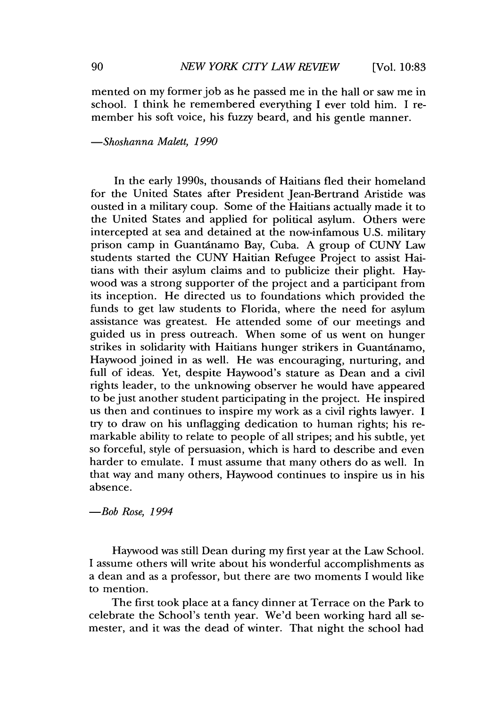mented on my former job as he passed me in the hall or saw me in school. I think he remembered everything I ever told him. I remember his soft voice, his fuzzy beard, and his gentle manner.

*-Shoshanna Malett, 1990*

In the early 1990s, thousands of Haitians fled their homeland for the United States after President Jean-Bertrand Aristide was ousted in a military coup. Some of the Haitians actually made it to the United States and applied for political asylum. Others were intercepted at sea and detained at the now-infamous U.S. military prison camp in Guantánamo Bay, Cuba. A group of CUNY Law students started the CUNY Haitian Refugee Project to assist Haitians with their asylum claims and to publicize their plight. Haywood was a strong supporter of the project and a participant from its inception. He directed us to foundations which provided the funds to get law students to Florida, where the need for asylum assistance was greatest. He attended some of our meetings and guided us in press outreach. When some of us went on hunger strikes in solidarity with Haitians hunger strikers in Guantánamo, Haywood joined in as well. He was encouraging, nurturing, and full of ideas. Yet, despite Haywood's stature as Dean and a civil rights leader, to the unknowing observer he would have appeared to be just another student participating in the project. He inspired us then and continues to inspire my work as a civil rights lawyer. I try to draw on his unflagging dedication to human rights; his remarkable ability to relate to people of all stripes; and his subtle, yet so forceful, style of persuasion, which is hard to describe and even harder to emulate. I must assume that many others do as well. In that way and many others, Haywood continues to inspire us in his absence.

*-Bob Rose, 1994*

Haywood was still Dean during my first year at the Law School. I assume others will write about his wonderful accomplishments as a dean and as a professor, but there are two moments I would like to mention.

The first took place at a fancy dinner at Terrace on the Park to celebrate the School's tenth year. We'd been working hard all semester, and it was the dead of winter. That night the school had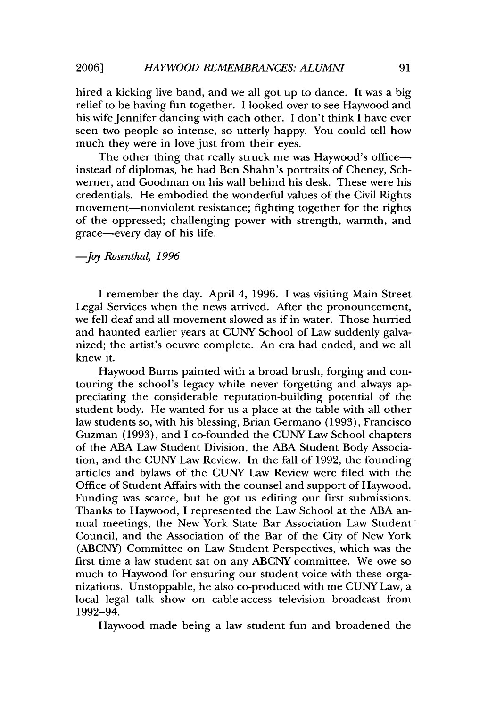hired a kicking live band, and we all got up to dance. It was a big relief to be having fun together. I looked over to see Haywood and his wife Jennifer dancing with each other. I don't think I have ever seen two people so intense, so utterly happy. You could tell how much they were in love just from their eyes.

The other thing that really struck me was Haywood's officeinstead of diplomas, he had Ben Shahn's portraits of Cheney, Schwerner, and Goodman on his wall behind his desk. These were his credentials. He embodied the wonderful values of the Civil Rights movement-nonviolent resistance; fighting together for the rights of the oppressed; challenging power with strength, warmth, and grace-every day of his life.

#### *-Joy Rosenthal, 1996*

I remember the day. April 4, 1996. I was visiting Main Street Legal Services when the news arrived. After the pronouncement, we fell deaf and all movement slowed as if in water. Those hurried and haunted earlier years at CUNY School of Law suddenly galvanized; the artist's oeuvre complete. An era had ended, and we all knew it.

Haywood Burns painted with a broad brush, forging and contouring the school's legacy while never forgetting and always appreciating the considerable reputation-building potential of the student body. He wanted for us a place at the table with all other law students so, with his blessing, Brian Germano (1993), Francisco Guzman (1993), and I co-founded the CUNY Law School chapters of the ABA Law Student Division, the ABA Student Body Association, and the CUNY Law Review. In the fall of 1992, the founding articles and bylaws of the CUNY Law Review were filed with the Office of Student Affairs with the counsel and support of Haywood. Funding was scarce, but he got us editing our first submissions. Thanks to Haywood, I represented the Law School at the ABA annual meetings, the New York State Bar Association Law Student Council, and the Association of the Bar of the City of New York (ABCNY) Committee on Law Student Perspectives, which was the first time a law student sat on any ABCNY committee. We owe so much to Haywood for ensuring our student voice with these organizations. Unstoppable, he also co-produced with me CUNY Law, a local legal talk show on cable-access television broadcast from 1992-94.

Haywood made being a law student fun and broadened the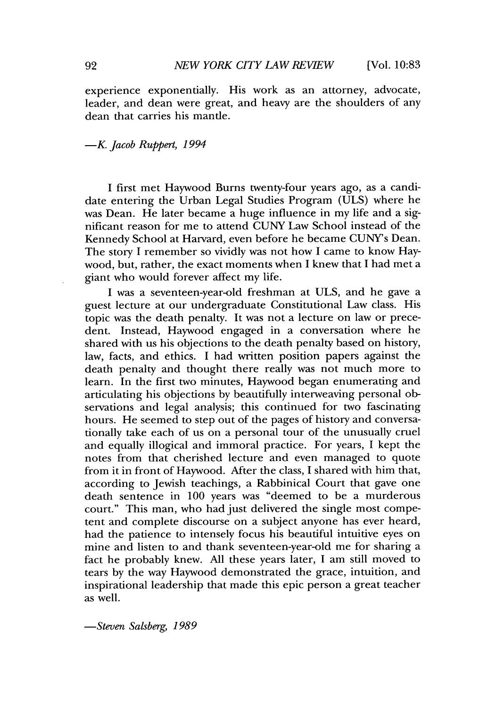experience exponentially. His work as an attorney, advocate, leader, and dean were great, and heavy are the shoulders of any dean that carries his mantle.

#### *-K. Jacob Ruppert, 1994*

I first met Haywood Burns twenty-four years ago, as a candidate entering the Urban Legal Studies Program (ULS) where he was Dean. He later became a huge influence in my life and a significant reason for me to attend CUNY Law School instead of the Kennedy School at Harvard, even before he became CUNY's Dean. The story I remember so vividly was not how I came to know Haywood, but, rather, the exact moments when I knew that I had met a giant who would forever affect my life.

I was a seventeen-year-old freshman at ULS, and he gave a guest lecture at our undergraduate Constitutional Law class. His topic was the death penalty. It was not a lecture on law or precedent. Instead, Haywood engaged in a conversation where he shared with us his objections to the death penalty based on history, law, facts, and ethics. I had written position papers against the death penalty and thought there really was not much more to learn. In the first two minutes, Haywood began enumerating and articulating his objections by beautifully interweaving personal observations and legal analysis; this continued for two fascinating hours. He seemed to step out of the pages of history and conversationally take each of us on a personal tour of the unusually cruel and equally illogical and immoral practice. For years, I kept the notes from that cherished lecture and even managed to quote from it in front of Haywood. After the class, I shared with him that, according to Jewish teachings, a Rabbinical Court that gave one death sentence in 100 years was "deemed to be a murderous court." This man, who had just delivered the single most competent and complete discourse on a subject anyone has ever heard, had the patience to intensely focus his beautiful intuitive eyes on mine and listen to and thank seventeen-year-old me for sharing a fact he probably knew. **All** these years later, I am still moved to tears by the way Haywood demonstrated the grace, intuition, and inspirational leadership that made this epic person a great teacher as well.

*-Steven Salsberg, 1989*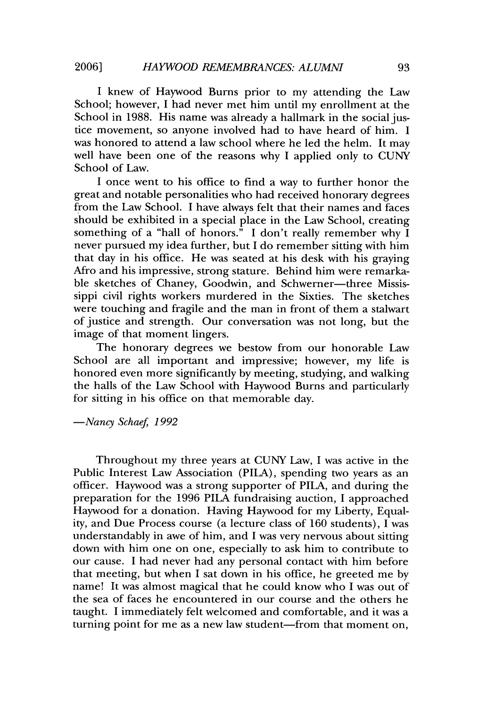I knew of Haywood Burns prior to my attending the Law School; however, I had never met him until my enrollment at the School in 1988. His name was already a hallmark in the social justice movement, so anyone involved had to have heard of him. I was honored to attend a law school where he led the helm. It may well have been one of the reasons why I applied only to CUNY School of Law.

I once went to his office to find a way to further honor the great and notable personalities who had received honorary degrees from the Law School. I have always felt that their names and faces should be exhibited in a special place in the Law School, creating something of a "hall of honors." I don't really remember why I never pursued my idea further, but I do remember sitting with him that day in his office. He was seated at his desk with his graying Afro and his impressive, strong stature. Behind him were remarkable sketches of Chaney, Goodwin, and Schwerner-three Mississippi civil rights workers murdered in the Sixties. The sketches were touching and fragile and the man in front of them a stalwart of justice and strength. Our conversation was not long, but the image of that moment lingers.

The honorary degrees we bestow from our honorable Law School are all important and impressive; however, my life is honored even more significantly by meeting, studying, and walking the halls of the Law School with Haywood Burns and particularly for sitting in his office on that memorable day.

*-Nancy Schaef, 1992*

Throughout my three years at CUNY Law, I was active in the Public Interest Law Association (PILA), spending two years as an officer. Haywood was a strong supporter of PILA, and during the preparation for the 1996 PILA fundraising auction, I approached Haywood for a donation. Having Haywood for my Liberty, Equality, and Due Process course (a lecture class of 160 students), I was understandably in awe of him, and I was very nervous about sitting down with him one on one, especially to ask him to contribute to our cause. I had never had any personal contact with him before that meeting, but when I sat down in his office, he greeted me by name! It was almost magical that he could know who I was out of the sea of faces he encountered in our course and the others he taught. I immediately felt welcomed and comfortable, and it was a turning point for me as a new law student-from that moment on,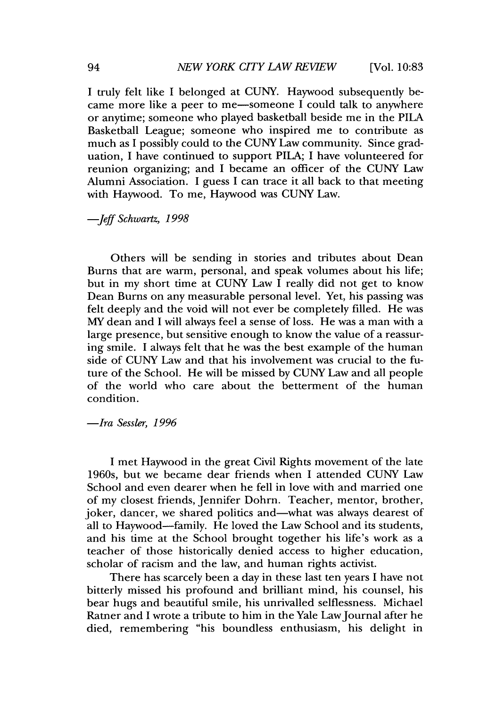[Vol. **10:83**

I truly felt like I belonged at CUNY. Haywood subsequently became more like a peer to me-someone I could talk to anywhere or anytime; someone who played basketball beside me in the PILA Basketball League; someone who inspired me to contribute as much as I possibly could to the CUNY Law community. Since graduation, I have continued to support PILA; I have volunteered for reunion organizing; and I became an officer of the CUNY Law Alumni Association. I guess I can trace it all back to that meeting with Haywood. To me, Haywood was CUNY Law.

#### *-Jeff Schwartz, 1998*

Others will be sending in stories and tributes about Dean Burns that are warm, personal, and speak volumes about his life; but in my short time at CUNY Law I really did not get to know Dean Burns on any measurable personal level. Yet, his passing was felt deeply and the void will not ever be completely filled. He was MY dean and I will always feel a sense of loss. He was a man with a large presence, but sensitive enough to know the value of a reassuring smile. I always felt that he was the best example of the human side of CUNY Law and that his involvement was crucial to the future of the School. He will be missed by CUNY Law and all people of the world who care about the betterment of the human condition.

*-Ira Sessler, 1996*

I met Haywood in the great Civil Rights movement of the late 1960s, but we became dear friends when I attended CUNY Law School and even dearer when he fell in love with and married one of my closest friends, Jennifer Dohrn. Teacher, mentor, brother, joker, dancer, we shared politics and—what was always dearest of all to Haywood-family. He loved the Law School and its students, and his time at the School brought together his life's work as a teacher of those historically denied access to higher education, scholar of racism and the law, and human rights activist.

There has scarcely been a day in these last ten years I have not bitterly missed his profound and brilliant mind, his counsel, his bear hugs and beautiful smile, his unrivalled selflessness. Michael Ratner and I wrote a tribute to him in the Yale LawJournal after he died, remembering "his boundless enthusiasm, his delight in